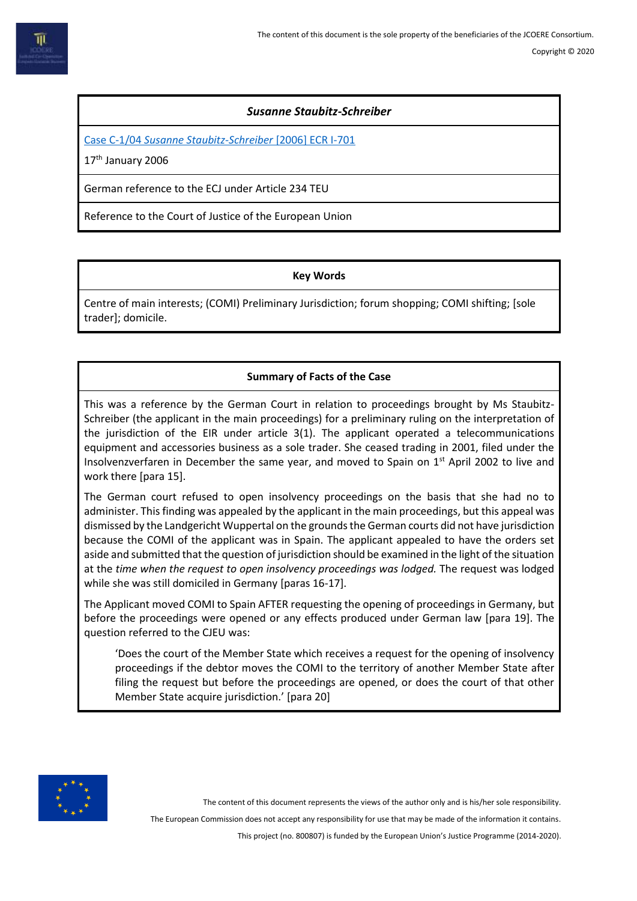# *Susanne Staubitz-Schreiber*

Case C-1/04 *[Susanne Staubitz-Schreiber](https://eur-lex.europa.eu/legal-content/EN/TXT/PDF/?uri=CELEX:62004CJ0001&from=EN)* [2006] ECR I-701

17<sup>th</sup> January 2006

German reference to the ECJ under Article 234 TEU

Reference to the Court of Justice of the European Union

# **Key Words**

Centre of main interests; (COMI) Preliminary Jurisdiction; forum shopping; COMI shifting; [sole trader]; domicile.

# **Summary of Facts of the Case**

This was a reference by the German Court in relation to proceedings brought by Ms Staubitz-Schreiber (the applicant in the main proceedings) for a preliminary ruling on the interpretation of the jurisdiction of the EIR under article 3(1). The applicant operated a telecommunications equipment and accessories business as a sole trader. She ceased trading in 2001, filed under the Insolvenzverfaren in December the same year, and moved to Spain on  $1<sup>st</sup>$  April 2002 to live and work there [para 15].

The German court refused to open insolvency proceedings on the basis that she had no to administer. This finding was appealed by the applicant in the main proceedings, but this appeal was dismissed by the Landgericht Wuppertal on the grounds the German courts did not have jurisdiction because the COMI of the applicant was in Spain. The applicant appealed to have the orders set aside and submitted that the question of jurisdiction should be examined in the light of the situation at the *time when the request to open insolvency proceedings was lodged.* The request was lodged while she was still domiciled in Germany [paras 16-17].

The Applicant moved COMI to Spain AFTER requesting the opening of proceedings in Germany, but before the proceedings were opened or any effects produced under German law [para 19]. The question referred to the CJEU was:

'Does the court of the Member State which receives a request for the opening of insolvency proceedings if the debtor moves the COMI to the territory of another Member State after filing the request but before the proceedings are opened, or does the court of that other Member State acquire jurisdiction.' [para 20]



The content of this document represents the views of the author only and is his/her sole responsibility.

The European Commission does not accept any responsibility for use that may be made of the information it contains.

This project (no. 800807) is funded by the European Union's Justice Programme (2014-2020).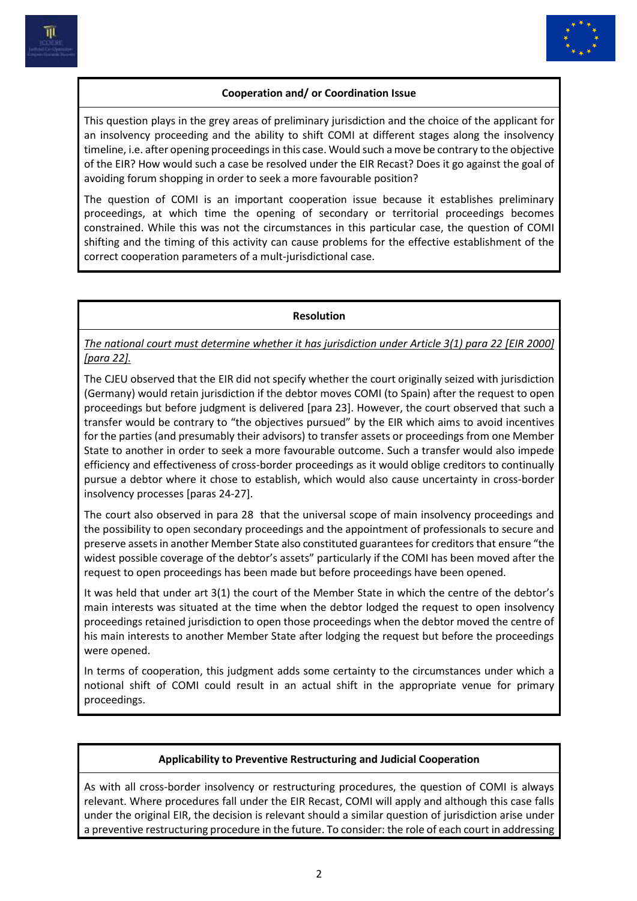



# **Cooperation and/ or Coordination Issue**

This question plays in the grey areas of preliminary jurisdiction and the choice of the applicant for an insolvency proceeding and the ability to shift COMI at different stages along the insolvency timeline, i.e. after opening proceedings in this case. Would such a move be contrary to the objective of the EIR? How would such a case be resolved under the EIR Recast? Does it go against the goal of avoiding forum shopping in order to seek a more favourable position?

The question of COMI is an important cooperation issue because it establishes preliminary proceedings, at which time the opening of secondary or territorial proceedings becomes constrained. While this was not the circumstances in this particular case, the question of COMI shifting and the timing of this activity can cause problems for the effective establishment of the correct cooperation parameters of a mult-jurisdictional case.

#### **Resolution**

*The national court must determine whether it has jurisdiction under Article 3(1) para 22 [EIR 2000] [para 22].*

The CJEU observed that the EIR did not specify whether the court originally seized with jurisdiction (Germany) would retain jurisdiction if the debtor moves COMI (to Spain) after the request to open proceedings but before judgment is delivered [para 23]. However, the court observed that such a transfer would be contrary to "the objectives pursued" by the EIR which aims to avoid incentives for the parties (and presumably their advisors) to transfer assets or proceedings from one Member State to another in order to seek a more favourable outcome. Such a transfer would also impede efficiency and effectiveness of cross-border proceedings as it would oblige creditors to continually pursue a debtor where it chose to establish, which would also cause uncertainty in cross-border insolvency processes [paras 24-27].

The court also observed in para 28 that the universal scope of main insolvency proceedings and the possibility to open secondary proceedings and the appointment of professionals to secure and preserve assets in another Member State also constituted guarantees for creditors that ensure "the widest possible coverage of the debtor's assets" particularly if the COMI has been moved after the request to open proceedings has been made but before proceedings have been opened.

It was held that under art 3(1) the court of the Member State in which the centre of the debtor's main interests was situated at the time when the debtor lodged the request to open insolvency proceedings retained jurisdiction to open those proceedings when the debtor moved the centre of his main interests to another Member State after lodging the request but before the proceedings were opened.

In terms of cooperation, this judgment adds some certainty to the circumstances under which a notional shift of COMI could result in an actual shift in the appropriate venue for primary proceedings.

## **Applicability to Preventive Restructuring and Judicial Cooperation**

As with all cross-border insolvency or restructuring procedures, the question of COMI is always relevant. Where procedures fall under the EIR Recast, COMI will apply and although this case falls under the original EIR, the decision is relevant should a similar question of jurisdiction arise under a preventive restructuring procedure in the future. To consider: the role of each court in addressing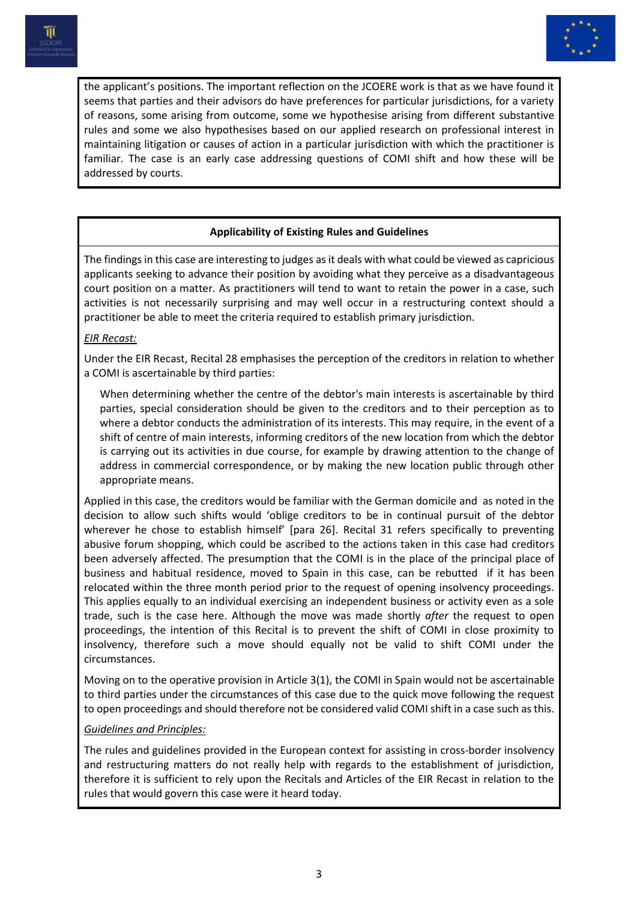



the applicant's positions. The important reflection on the JCOERE work is that as we have found it seems that parties and their advisors do have preferences for particular jurisdictions, for a variety of reasons, some arising from outcome, some we hypothesise arising from different substantive rules and some we also hypothesises based on our applied research on professional interest in maintaining litigation or causes of action in a particular jurisdiction with which the practitioner is familiar. The case is an early case addressing questions of COMI shift and how these will be addressed by courts.

# **Applicability of Existing Rules and Guidelines**

The findings in this case are interesting to judges as it deals with what could be viewed as capricious applicants seeking to advance their position by avoiding what they perceive as a disadvantageous court position on a matter. As practitioners will tend to want to retain the power in a case, such activities is not necessarily surprising and may well occur in a restructuring context should a practitioner be able to meet the criteria required to establish primary jurisdiction.

## *EIR Recast:*

Under the EIR Recast, Recital 28 emphasises the perception of the creditors in relation to whether a COMI is ascertainable by third parties:

When determining whether the centre of the debtor's main interests is ascertainable by third parties, special consideration should be given to the creditors and to their perception as to where a debtor conducts the administration of its interests. This may require, in the event of a shift of centre of main interests, informing creditors of the new location from which the debtor is carrying out its activities in due course, for example by drawing attention to the change of address in commercial correspondence, or by making the new location public through other appropriate means.

Applied in this case, the creditors would be familiar with the German domicile and as noted in the decision to allow such shifts would 'oblige creditors to be in continual pursuit of the debtor wherever he chose to establish himself' [para 26]. Recital 31 refers specifically to preventing abusive forum shopping, which could be ascribed to the actions taken in this case had creditors been adversely affected. The presumption that the COMI is in the place of the principal place of business and habitual residence, moved to Spain in this case, can be rebutted if it has been relocated within the three month period prior to the request of opening insolvency proceedings. This applies equally to an individual exercising an independent business or activity even as a sole trade, such is the case here. Although the move was made shortly *after* the request to open proceedings, the intention of this Recital is to prevent the shift of COMI in close proximity to insolvency, therefore such a move should equally not be valid to shift COMI under the circumstances.

Moving on to the operative provision in Article 3(1), the COMI in Spain would not be ascertainable to third parties under the circumstances of this case due to the quick move following the request to open proceedings and should therefore not be considered valid COMI shift in a case such as this.

## *Guidelines and Principles:*

The rules and guidelines provided in the European context for assisting in cross-border insolvency and restructuring matters do not really help with regards to the establishment of jurisdiction, therefore it is sufficient to rely upon the Recitals and Articles of the EIR Recast in relation to the rules that would govern this case were it heard today.